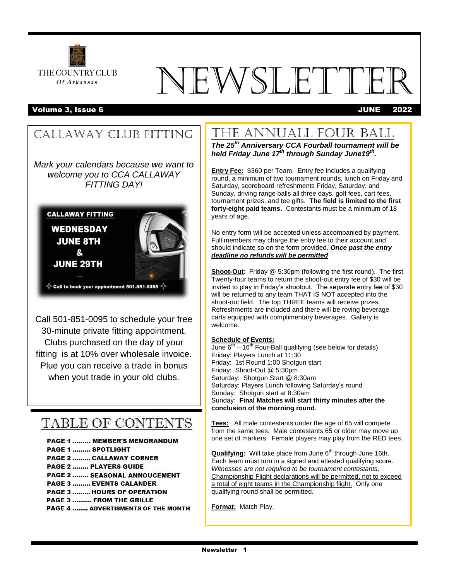

# **IEWSLETTE**

#### Volume 3, Issue 6 JUNE 2022

# CALLAWAY CLUB FITTING

*Mark your calendars because we want to welcome you to CCA CALLAWAY FITTING DAY!*



Call 501-851-0095 to schedule your free 30-minute private fitting appointment. Clubs purchased on the day of your fitting is at 10% over wholesale invoice. Plue you can receive a trade in bonus when yout trade in your old clubs.

# TABLE OF CONTENTS

#### **PAGE 1 ........ MEMBER'S MEMORANDUM**

- **PAGE 1 ......... SPOTLIGHT**
- **PAGE 2 ......... CALLAWAY CORNER**
- **PAGE 2 ........ PLAYERS GUIDE**
- PAGE 2 ........ SEASONAL ANNOUCEMENT
- **PAGE 3 ......... EVENTS CALANDER PAGE 3 ......... HOURS OF OPERATION**
- **PAGE 3 .......... FROM THE GRILLE**
- **PAGE 4 ........ ADVERTISMENTS OF THE MONTH**

# THE ANNUALL FOUR BALL

*The 25th Anniversary CCA Fourball tournament will be held Friday June 17th through Sunday June19th .*

**Entry Fee:** \$360 per Team. Entry fee includes a qualifying round, a minimum of two tournament rounds, lunch on Friday and Saturday, scoreboard refreshments Friday, Saturday, and Sunday, driving range balls all three days, golf fees, cart fees, tournament prizes, and tee gifts. **The field is limited to the first forty-eight paid teams.** Contestants must be a minimum of 18 years of age.

No entry form will be accepted unless accompanied by payment. Full members may charge the entry fee to their account and should indicate so on the form provided. *Once past the entry deadline no refunds will be permitted*

**Shoot-Out**: Friday @ 5:30pm (following the first round). The first Twenty-four teams to return the shoot-out entry fee of \$30 will be invited to play in Friday's shootout. The separate entry fee of \$30 will be returned to any team THAT IS NOT accepted into the shoot-out field. The top THREE teams will receive prizes. Refreshments are included and there will be roving beverage carts equipped with complimentary beverages. Gallery is welcome.

#### **Schedule of Events:**

June  $6^{th}$  – 16<sup>th</sup> Four-Ball qualifying (see below for details) Friday: Players Lunch at 11:30 Friday: 1st Round 1:00 Shotgun start Friday: Shoot-Out @ 5:30pm Saturday: Shotgun Start @ 8:30am Saturday: Players Lunch following Saturday's round Sunday: Shotgun start at 8:30am Sunday: **Final Matches will start thirty minutes after the conclusion of the morning round.**

**Tees:** All male contestants under the age of 65 will compete from the same tees. Male contestants 65 or older may move up one set of markers. Female players may play from the RED tees.

**Qualifying:** Will take place from June 6<sup>th</sup> through June 16th. Each team must turn in a signed and attested qualifying score. *Witnesses are not required to be tournament contestants*. Championship Flight declarations will be permitted, not to exceed a total of eight teams in the Championship flight. Only one qualifying round shall be permitted.

**Format:** Match Play.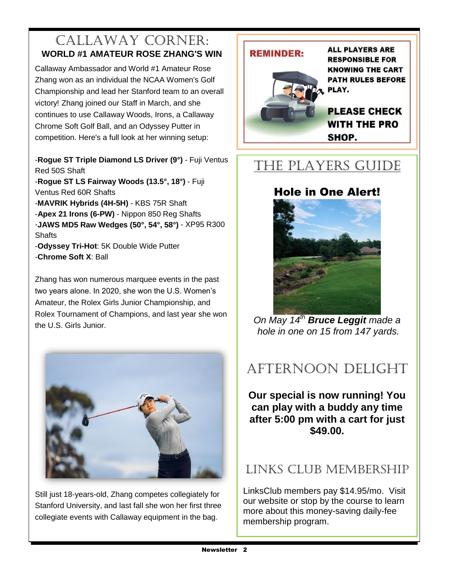### Callaway Corner: **WORLD #1 AMATEUR ROSE ZHANG'S WIN**

Callaway Ambassador and World #1 Amateur Rose Zhang won as an individual the NCAA Women's Golf Championship and lead her Stanford team to an overall victory! Zhang joined our Staff in March, and she continues to use Callaway Woods, Irons, a Callaway Chrome Soft Golf Ball, and an Odyssey Putter in competition. Here's a full look at her winning setup:

-**Rogue ST Triple Diamond LS Driver (9°)** - Fuji Ventus Red 50S Shaft -**Rogue ST LS Fairway Woods (13.5°, 18°)** - Fuji Ventus Red 60R Shafts -**MAVRIK Hybrids (4H-5H)** - KBS 75R Shaft -**Apex 21 Irons (6-PW)** - Nippon 850 Reg Shafts -**JAWS MD5 Raw Wedges (50°, 54°, 58°)** - XP95 R300 **Shafts** -**Odyssey Tri-Hot**: 5K Double Wide Putter -**Chrome Soft X**: Ball

Zhang has won numerous marquee events in the past two years alone. In 2020, she won the U.S. Women's Amateur, the Rolex Girls Junior Championship, and Rolex Tournament of Champions, and last year she won the U.S. Girls Junior.



Still just 18-years-old, Zhang competes collegiately for Stanford University, and last fall she won her first three collegiate events with Callaway equipment in the bag.



# The Players GUIDE

### Hole in One Alert!



*On May 14th Bruce Leggit made a hole in one on 15 from 147 yards.*

# AFTERNOON DELIGHT

**Our special is now running! You can play with a buddy any time after 5:00 pm with a cart for just \$49.00.**

### LINKS CLUB MEMBERSHIP

LinksClub members pay \$14.95/mo. Visit our website or stop by the course to learn more about this money-saving daily-fee membership program.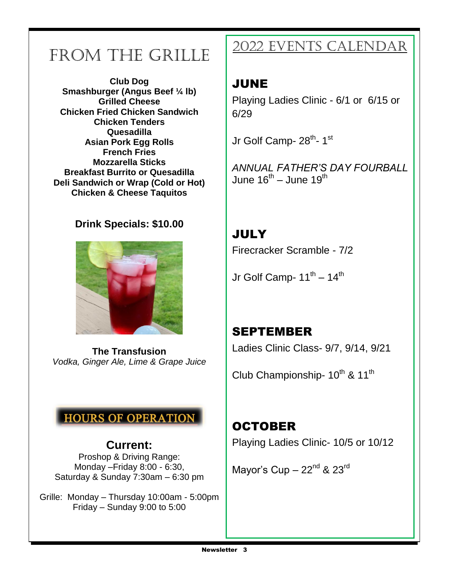# FROM THE GRILLE

**Club Dog Smashburger (Angus Beef ¼ lb) Grilled Cheese Chicken Fried Chicken Sandwich Chicken Tenders Quesadilla Asian Pork Egg Rolls French Fries Mozzarella Sticks Breakfast Burrito or Quesadilla Deli Sandwich or Wrap (Cold or Hot) Chicken & Cheese Taquitos**

#### **Drink Specials: \$10.00**



**The Transfusion** *Vodka, Ginger Ale, Lime & Grape Juice* 

## **HOURS OF OPERATION**

#### **Current:** Proshop & Driving Range: Monday –Friday 8:00 - 6:30, Saturday & Sunday 7:30am – 6:30 pm

Grille: Monday – Thursday 10:00am - 5:00pm Friday – Sunday 9:00 to 5:00

# 2022 EVENTS CALENDAR

### JUNE

Playing Ladies Clinic - 6/1 or 6/15 or 6/29

Jr Golf Camp- 28<sup>th</sup>- 1<sup>st</sup>

*ANNUAL FATHER'S DAY FOURBALL* June 16<sup>th</sup> – June 19<sup>th</sup>

# **JULY**

Firecracker Scramble - 7/2

Jr Golf Camp- 11<sup>th</sup> – 14<sup>th</sup>

SEPTEMBER Ladies Clinic Class- 9/7, 9/14, 9/21

Club Championship- 10<sup>th</sup> & 11<sup>th</sup>

**OCTOBER** Playing Ladies Clinic- 10/5 or 10/12

Mayor's Cup  $-22<sup>nd</sup>$  &  $23<sup>rd</sup>$